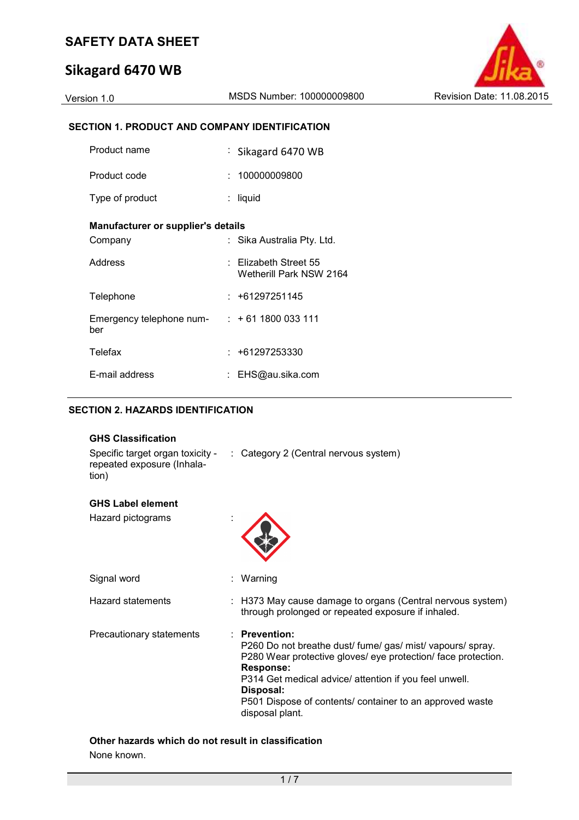# **Sikagard 6470 WB**



### **SECTION 1. PRODUCT AND COMPANY IDENTIFICATION**

| Product name                       | : Sikagard 6470 WB                                   |
|------------------------------------|------------------------------------------------------|
| Product code                       | : 100000009800                                       |
| Type of product                    | : liquid                                             |
| Manufacturer or supplier's details |                                                      |
| Company                            | : Sika Australia Pty. Ltd.                           |
| Address                            | $\pm$ Elizabeth Street 55<br>Wetherill Park NSW 2164 |
| Telephone                          | : +61297251145                                       |
| Emergency telephone num-<br>ber    | $: +611800033111$                                    |
| Telefax                            | $: +61297253330$                                     |
| E-mail address                     | EHS@au.sika.com                                      |

## **SECTION 2. HAZARDS IDENTIFICATION**

| <b>GHS Classification</b>                                               |                                                                                                                                                                                                                                                                                                                             |  |
|-------------------------------------------------------------------------|-----------------------------------------------------------------------------------------------------------------------------------------------------------------------------------------------------------------------------------------------------------------------------------------------------------------------------|--|
| Specific target organ toxicity -<br>repeated exposure (Inhala-<br>tion) | : Category 2 (Central nervous system)                                                                                                                                                                                                                                                                                       |  |
| <b>GHS Label element</b>                                                |                                                                                                                                                                                                                                                                                                                             |  |
| Hazard pictograms                                                       |                                                                                                                                                                                                                                                                                                                             |  |
| Signal word                                                             | Warning                                                                                                                                                                                                                                                                                                                     |  |
| <b>Hazard statements</b>                                                | : H373 May cause damage to organs (Central nervous system)<br>through prolonged or repeated exposure if inhaled.                                                                                                                                                                                                            |  |
| Precautionary statements                                                | <b>Prevention:</b><br>P260 Do not breathe dust/ fume/ gas/ mist/ vapours/ spray.<br>P280 Wear protective gloves/ eye protection/ face protection.<br><b>Response:</b><br>P314 Get medical advice/ attention if you feel unwell.<br>Disposal:<br>P501 Dispose of contents/ container to an approved waste<br>disposal plant. |  |

### **Other hazards which do not result in classification** None known.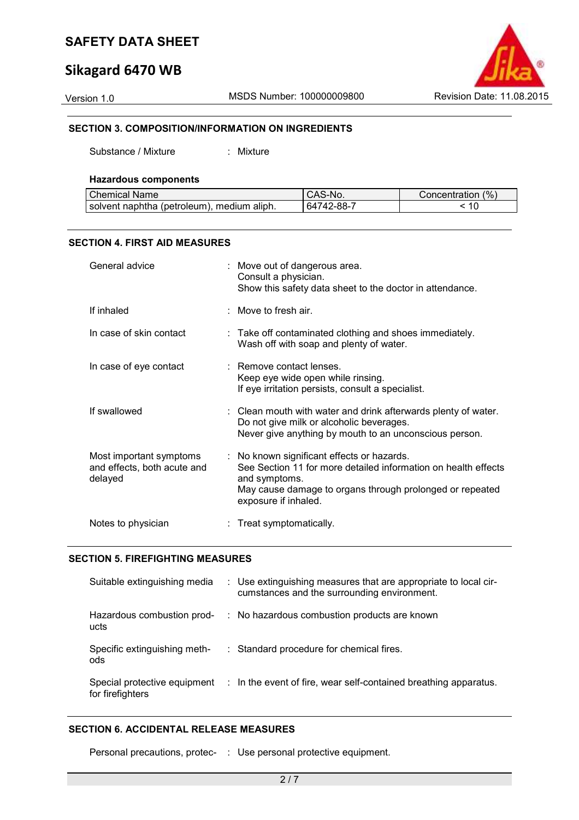# **Sikagard 6470 WB**



#### **SECTION 3. COMPOSITION/INFORMATION ON INGREDIENTS**

Substance / Mixture : Mixture

| <b>Hazardous components</b> |                    |
|-----------------------------|--------------------|
| l Chamical Nama             | $\cap$ $\triangle$ |

| Chemical Name                                | S-No.      | Concentration (%) |
|----------------------------------------------|------------|-------------------|
| I solvent naphtha (petroleum), medium aliph. | 64742-88-7 | 10                |

#### **SECTION 4. FIRST AID MEASURES**

| General advice                                                    | : Move out of dangerous area.<br>Consult a physician.<br>Show this safety data sheet to the doctor in attendance.                                                                                                 |
|-------------------------------------------------------------------|-------------------------------------------------------------------------------------------------------------------------------------------------------------------------------------------------------------------|
| If inhaled                                                        | : Move to fresh air.                                                                                                                                                                                              |
| In case of skin contact                                           | : Take off contaminated clothing and shoes immediately.<br>Wash off with soap and plenty of water.                                                                                                                |
| In case of eye contact                                            | : Remove contact lenses.<br>Keep eye wide open while rinsing.<br>If eye irritation persists, consult a specialist.                                                                                                |
| If swallowed                                                      | : Clean mouth with water and drink afterwards plenty of water.<br>Do not give milk or alcoholic beverages.<br>Never give anything by mouth to an unconscious person.                                              |
| Most important symptoms<br>and effects, both acute and<br>delayed | : No known significant effects or hazards.<br>See Section 11 for more detailed information on health effects<br>and symptoms.<br>May cause damage to organs through prolonged or repeated<br>exposure if inhaled. |
| Notes to physician                                                | : Treat symptomatically.                                                                                                                                                                                          |

#### **SECTION 5. FIREFIGHTING MEASURES**

| Suitable extinguishing media                     | : Use extinguishing measures that are appropriate to local cir-<br>cumstances and the surrounding environment. |
|--------------------------------------------------|----------------------------------------------------------------------------------------------------------------|
| Hazardous combustion prod-<br>ucts               | : No hazardous combustion products are known                                                                   |
| Specific extinguishing meth-<br>ods              | : Standard procedure for chemical fires.                                                                       |
| Special protective equipment<br>for firefighters | : In the event of fire, wear self-contained breathing apparatus.                                               |

### **SECTION 6. ACCIDENTAL RELEASE MEASURES**

Personal precautions, protec- : Use personal protective equipment.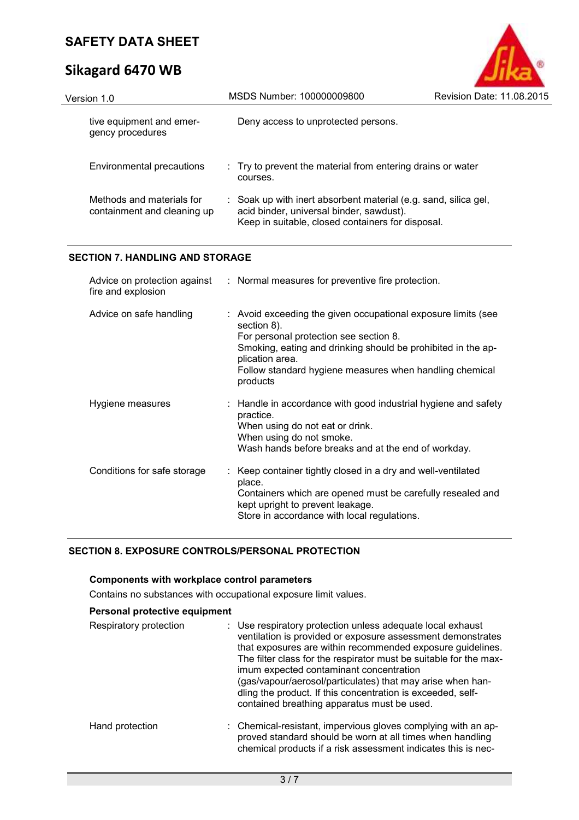# **Sikagard 6470 WB**

| Version 1.0                                              | MSDS Number: 100000009800                                                                                                                                        | Revision Date: 11.08.2015 |
|----------------------------------------------------------|------------------------------------------------------------------------------------------------------------------------------------------------------------------|---------------------------|
| tive equipment and emer-<br>gency procedures             | Deny access to unprotected persons.                                                                                                                              |                           |
| Environmental precautions                                | : Try to prevent the material from entering drains or water<br>courses.                                                                                          |                           |
| Methods and materials for<br>containment and cleaning up | : Soak up with inert absorbent material (e.g. sand, silica gel,<br>acid binder, universal binder, sawdust).<br>Keep in suitable, closed containers for disposal. |                           |

 $\bullet$ 

## **SECTION 7. HANDLING AND STORAGE**

| fire and explosion          | Advice on protection against : Normal measures for preventive fire protection.                                                                                                                                                                                                   |
|-----------------------------|----------------------------------------------------------------------------------------------------------------------------------------------------------------------------------------------------------------------------------------------------------------------------------|
| Advice on safe handling     | : Avoid exceeding the given occupational exposure limits (see<br>section 8).<br>For personal protection see section 8.<br>Smoking, eating and drinking should be prohibited in the ap-<br>plication area.<br>Follow standard hygiene measures when handling chemical<br>products |
| Hygiene measures            | : Handle in accordance with good industrial hygiene and safety<br>practice.<br>When using do not eat or drink.<br>When using do not smoke.<br>Wash hands before breaks and at the end of workday.                                                                                |
| Conditions for safe storage | : Keep container tightly closed in a dry and well-ventilated<br>place.<br>Containers which are opened must be carefully resealed and<br>kept upright to prevent leakage.<br>Store in accordance with local regulations.                                                          |

## **SECTION 8. EXPOSURE CONTROLS/PERSONAL PROTECTION**

#### **Components with workplace control parameters**

Contains no substances with occupational exposure limit values.

### **Personal protective equipment**

| Respiratory protection | : Use respiratory protection unless adequate local exhaust<br>ventilation is provided or exposure assessment demonstrates<br>that exposures are within recommended exposure guidelines.<br>The filter class for the respirator must be suitable for the max-<br>imum expected contaminant concentration<br>(gas/vapour/aerosol/particulates) that may arise when han-<br>dling the product. If this concentration is exceeded, self-<br>contained breathing apparatus must be used. |
|------------------------|-------------------------------------------------------------------------------------------------------------------------------------------------------------------------------------------------------------------------------------------------------------------------------------------------------------------------------------------------------------------------------------------------------------------------------------------------------------------------------------|
| Hand protection        | : Chemical-resistant, impervious gloves complying with an ap-<br>proved standard should be worn at all times when handling<br>chemical products if a risk assessment indicates this is nec-                                                                                                                                                                                                                                                                                         |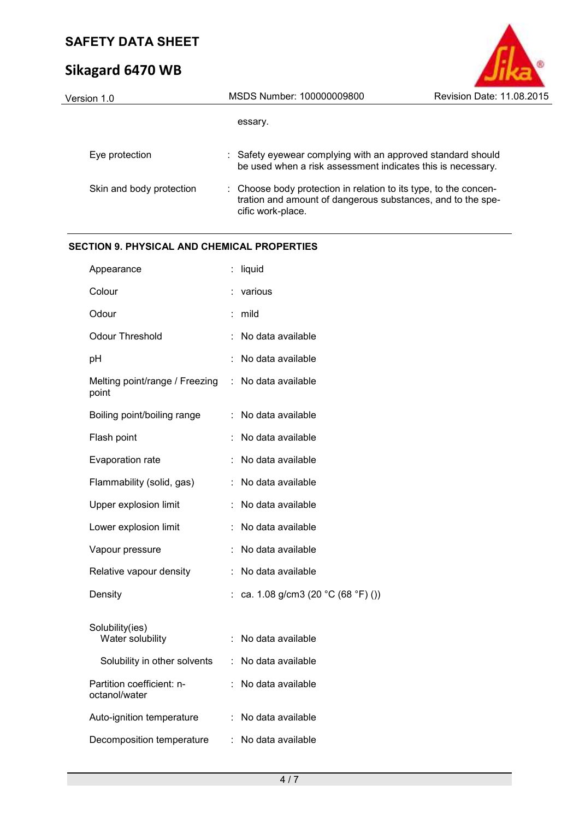# **Sikagard 6470 WB**

| Version 1.0              | MSDS Number: 100000009800                                                                                                                            | Revision Date: 11.08.2015 |
|--------------------------|------------------------------------------------------------------------------------------------------------------------------------------------------|---------------------------|
|                          | essary.                                                                                                                                              |                           |
| Eye protection           | : Safety eyewear complying with an approved standard should<br>be used when a risk assessment indicates this is necessary.                           |                           |
| Skin and body protection | : Choose body protection in relation to its type, to the concen-<br>tration and amount of dangerous substances, and to the spe-<br>cific work-place. |                           |
|                          |                                                                                                                                                      |                           |

# **SECTION 9. PHYSICAL AND CHEMICAL PROPERTIES**

| Appearance                                 | İ. | liquid                            |
|--------------------------------------------|----|-----------------------------------|
| Colour                                     |    | various                           |
| Odour                                      | t  | mild                              |
| Odour Threshold                            |    | No data available                 |
| pH                                         |    | No data available                 |
| Melting point/range / Freezing<br>point    |    | : No data available               |
| Boiling point/boiling range                | ÷  | No data available                 |
| Flash point                                |    | No data available                 |
| Evaporation rate                           |    | No data available                 |
| Flammability (solid, gas)                  |    | No data available                 |
| Upper explosion limit                      |    | No data available                 |
| Lower explosion limit                      |    | No data available                 |
| Vapour pressure                            |    | No data available                 |
| Relative vapour density                    | t  | No data available                 |
| Density                                    |    | ca. 1.08 g/cm3 (20 °C (68 °F) ()) |
| Solubility(ies)<br>Water solubility        |    | No data available                 |
| Solubility in other solvents               | ÷  | No data available                 |
| Partition coefficient: n-<br>octanol/water | ÷  | No data available                 |
| Auto-ignition temperature                  |    | No data available                 |
| Decomposition temperature                  | ÷. | No data available                 |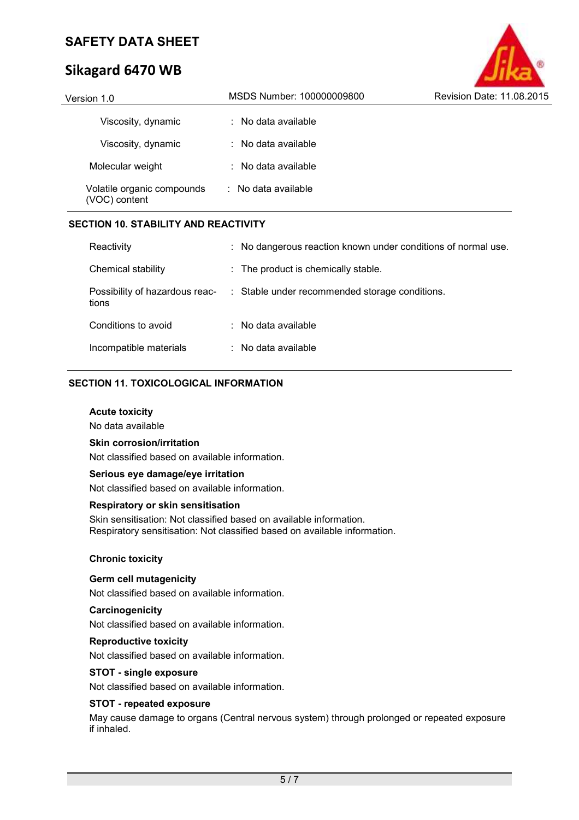# **Sikagard 6470 WB**

| MSDS Number: 100000009800      | Revision Date: 11.08.2015 |
|--------------------------------|---------------------------|
| $\therefore$ No data available |                           |
| $\therefore$ No data available |                           |
| $\therefore$ No data available |                           |
| $\therefore$ No data available |                           |
|                                |                           |

#### **SECTION 10. STABILITY AND REACTIVITY**

| Reactivity                              | : No dangerous reaction known under conditions of normal use. |
|-----------------------------------------|---------------------------------------------------------------|
| Chemical stability                      | $\therefore$ The product is chemically stable.                |
| Possibility of hazardous reac-<br>tions | : Stable under recommended storage conditions.                |
| Conditions to avoid                     | $\therefore$ No data available                                |
| Incompatible materials                  | $\therefore$ No data available                                |

### **SECTION 11. TOXICOLOGICAL INFORMATION**

#### **Acute toxicity**

No data available

#### **Skin corrosion/irritation**

Not classified based on available information.

#### **Serious eye damage/eye irritation**

Not classified based on available information.

#### **Respiratory or skin sensitisation**

Skin sensitisation: Not classified based on available information. Respiratory sensitisation: Not classified based on available information.

#### **Chronic toxicity**

#### **Germ cell mutagenicity**

Not classified based on available information.

#### **Carcinogenicity**

Not classified based on available information.

#### **Reproductive toxicity**

Not classified based on available information.

#### **STOT - single exposure**

Not classified based on available information.

#### **STOT - repeated exposure**

May cause damage to organs (Central nervous system) through prolonged or repeated exposure if inhaled.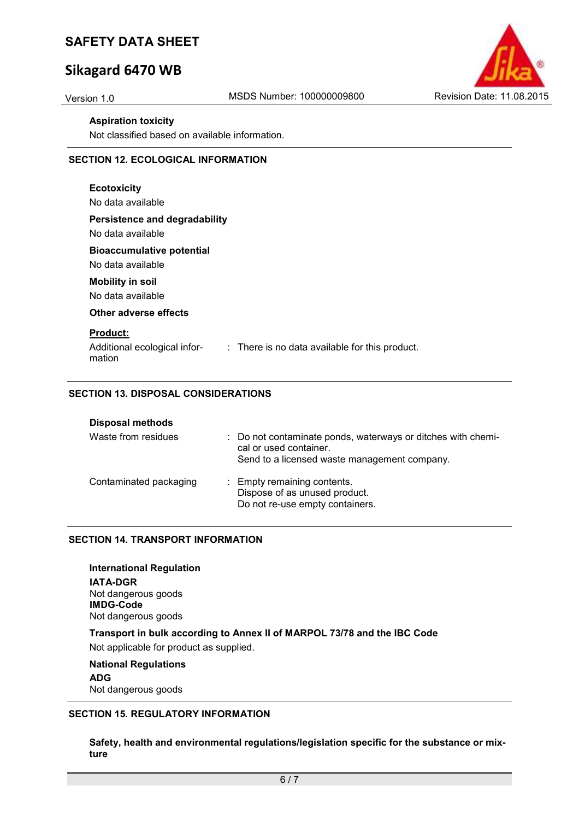# **Sikagard 6470 WB**



#### **Aspiration toxicity**

Not classified based on available information.

#### **SECTION 12. ECOLOGICAL INFORMATION**

| <b>Ecotoxicity</b><br>No data available                                                                     |
|-------------------------------------------------------------------------------------------------------------|
| Persistence and degradability<br>No data available                                                          |
| <b>Bioaccumulative potential</b><br>No data available                                                       |
| <b>Mobility in soil</b><br>No data available                                                                |
| Other adverse effects                                                                                       |
| <b>Product:</b><br>Additional ecological infor-<br>: There is no data available for this product.<br>mation |

### **SECTION 13. DISPOSAL CONSIDERATIONS**

| <b>Disposal methods</b> |                                                                                                                                        |
|-------------------------|----------------------------------------------------------------------------------------------------------------------------------------|
| Waste from residues     | : Do not contaminate ponds, waterways or ditches with chemi-<br>cal or used container.<br>Send to a licensed waste management company. |
| Contaminated packaging  | : Empty remaining contents.<br>Dispose of as unused product.<br>Do not re-use empty containers.                                        |

### **SECTION 14. TRANSPORT INFORMATION**

**International Regulation IATA-DGR** Not dangerous goods **IMDG-Code** Not dangerous goods **Transport in bulk according to Annex II of MARPOL 73/78 and the IBC Code**  Not applicable for product as supplied. **National Regulations** 

**ADG** Not dangerous goods

#### **SECTION 15. REGULATORY INFORMATION**

**Safety, health and environmental regulations/legislation specific for the substance or mixture**